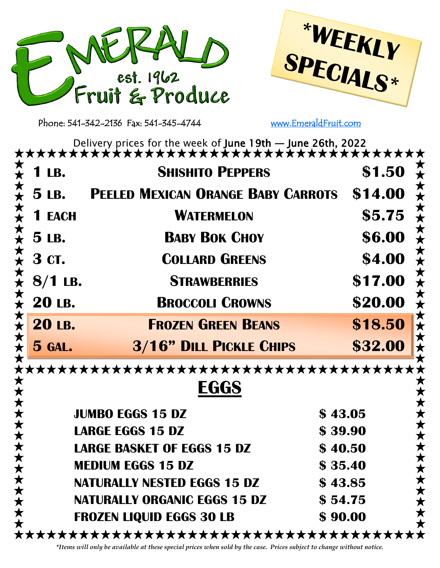



Phone: 541-342-2136 Fax: 541-345-4744 [www.EmeraldFruit.com](http://www.EmeraldFruitandProduce.com)

Delivery prices for the week of June 19th — June 26th, 2022

| <b>1 LB.</b>          | <b>SHISHITO PEPPERS</b>                                        | \$1.50  |
|-----------------------|----------------------------------------------------------------|---------|
|                       | $\frac{2}{2}$ 5 LB. PEELED MEXICAN ORANGE BABY CARROTS \$14.00 |         |
| <b>1 EACH</b>         | <b>WATERMELON</b>                                              | \$5.75  |
| $\star$ 5 LB.         | <b>BABY BOK CHOY</b>                                           | \$6.00  |
| $\star$ 3 ct.         | <b>COLLARD GREENS</b>                                          | \$4.00  |
| $8/1$ LB.             | <b>STRAWBERRIES</b>                                            | \$17.00 |
| $\star$ 20 LB.        | <b>BROCCOLI CROWNS</b>                                         | \$20.00 |
| 大大大大<br><b>20 LB.</b> | <b>FROZEN GREEN BEANS</b>                                      | \$18.50 |
| $5$ GAL.              | <b>3/16" DILL PICKLE CHIPS</b>                                 | \$32.00 |

\*\*\*\*\*\*\*\*\*\*\*\*\*\*\*\*\*\*\*\*\*\*\*\*\*\*\*\*\*\*\*\*\*\*\*\*\* \*\*\*\*\*\*\*\*\*\*\*\*\*\* **EGGS** x \* \* \* \* \* \* \* \* \* \* \* **JUMBO EGGS 15 DZ \$ 43.05 LARGE EGGS 15 DZ \$ 39.90 LARGE BASKET OF EGGS 15 DZ \$ 40.50 MEDIUM EGGS 15 DZ \$ 35.40 NATURALLY NESTED EGGS 15 DZ \$ 43.85 NATURALLY ORGANIC EGGS 15 DZ \$ 54.75 FROZEN LIQUID EGGS 30 LB \$ 90.00** \*\*\*\*\*\*\*\*\*\*\*\*\*\*\*\*\*\*\*\*\*\*\*\*\*\*\*\*\*\*\*\*\*\*\*\*\*

*\*Items will only be available at these special prices when sold by the case. Prices subject to change without notice.*